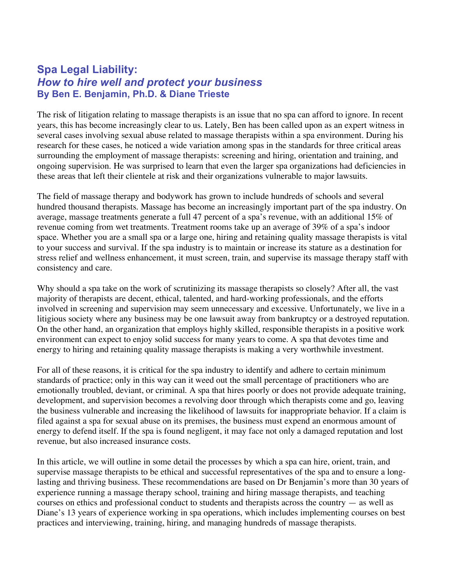# **Spa Legal Liability:** *How to hire well and protect your business* **By Ben E. Benjamin, Ph.D. & Diane Trieste**

The risk of litigation relating to massage therapists is an issue that no spa can afford to ignore. In recent years, this has become increasingly clear to us. Lately, Ben has been called upon as an expert witness in several cases involving sexual abuse related to massage therapists within a spa environment. During his research for these cases, he noticed a wide variation among spas in the standards for three critical areas surrounding the employment of massage therapists: screening and hiring, orientation and training, and ongoing supervision. He was surprised to learn that even the larger spa organizations had deficiencies in these areas that left their clientele at risk and their organizations vulnerable to major lawsuits.

The field of massage therapy and bodywork has grown to include hundreds of schools and several hundred thousand therapists. Massage has become an increasingly important part of the spa industry. On average, massage treatments generate a full 47 percent of a spa's revenue, with an additional 15% of revenue coming from wet treatments. Treatment rooms take up an average of 39% of a spa's indoor space. Whether you are a small spa or a large one, hiring and retaining quality massage therapists is vital to your success and survival. If the spa industry is to maintain or increase its stature as a destination for stress relief and wellness enhancement, it must screen, train, and supervise its massage therapy staff with consistency and care.

Why should a spa take on the work of scrutinizing its massage therapists so closely? After all, the vast majority of therapists are decent, ethical, talented, and hard-working professionals, and the efforts involved in screening and supervision may seem unnecessary and excessive. Unfortunately, we live in a litigious society where any business may be one lawsuit away from bankruptcy or a destroyed reputation. On the other hand, an organization that employs highly skilled, responsible therapists in a positive work environment can expect to enjoy solid success for many years to come. A spa that devotes time and energy to hiring and retaining quality massage therapists is making a very worthwhile investment.

For all of these reasons, it is critical for the spa industry to identify and adhere to certain minimum standards of practice; only in this way can it weed out the small percentage of practitioners who are emotionally troubled, deviant, or criminal. A spa that hires poorly or does not provide adequate training, development, and supervision becomes a revolving door through which therapists come and go, leaving the business vulnerable and increasing the likelihood of lawsuits for inappropriate behavior. If a claim is filed against a spa for sexual abuse on its premises, the business must expend an enormous amount of energy to defend itself. If the spa is found negligent, it may face not only a damaged reputation and lost revenue, but also increased insurance costs.

In this article, we will outline in some detail the processes by which a spa can hire, orient, train, and supervise massage therapists to be ethical and successful representatives of the spa and to ensure a longlasting and thriving business. These recommendations are based on Dr Benjamin's more than 30 years of experience running a massage therapy school, training and hiring massage therapists, and teaching courses on ethics and professional conduct to students and therapists across the country — as well as Diane's 13 years of experience working in spa operations, which includes implementing courses on best practices and interviewing, training, hiring, and managing hundreds of massage therapists.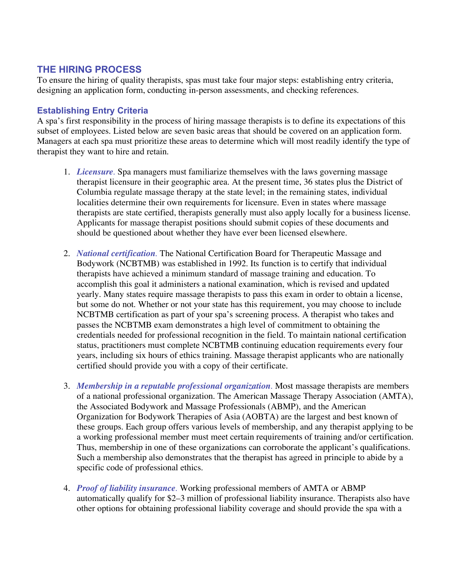# **THE HIRING PROCESS**

To ensure the hiring of quality therapists, spas must take four major steps: establishing entry criteria, designing an application form, conducting in-person assessments, and checking references.

# **Establishing Entry Criteria**

A spa's first responsibility in the process of hiring massage therapists is to define its expectations of this subset of employees. Listed below are seven basic areas that should be covered on an application form. Managers at each spa must prioritize these areas to determine which will most readily identify the type of therapist they want to hire and retain.

- 1. *Licensure.* Spa managers must familiarize themselves with the laws governing massage therapist licensure in their geographic area. At the present time, 36 states plus the District of Columbia regulate massage therapy at the state level; in the remaining states, individual localities determine their own requirements for licensure. Even in states where massage therapists are state certified, therapists generally must also apply locally for a business license. Applicants for massage therapist positions should submit copies of these documents and should be questioned about whether they have ever been licensed elsewhere.
- 2. *National certification.* The National Certification Board for Therapeutic Massage and Bodywork (NCBTMB) was established in 1992. Its function is to certify that individual therapists have achieved a minimum standard of massage training and education. To accomplish this goal it administers a national examination, which is revised and updated yearly. Many states require massage therapists to pass this exam in order to obtain a license, but some do not. Whether or not your state has this requirement, you may choose to include NCBTMB certification as part of your spa's screening process. A therapist who takes and passes the NCBTMB exam demonstrates a high level of commitment to obtaining the credentials needed for professional recognition in the field. To maintain national certification status, practitioners must complete NCBTMB continuing education requirements every four years, including six hours of ethics training. Massage therapist applicants who are nationally certified should provide you with a copy of their certificate.
- 3. *Membership in a reputable professional organization.* Most massage therapists are members of a national professional organization. The American Massage Therapy Association (AMTA), the Associated Bodywork and Massage Professionals (ABMP), and the American Organization for Bodywork Therapies of Asia (AOBTA) are the largest and best known of these groups. Each group offers various levels of membership, and any therapist applying to be a working professional member must meet certain requirements of training and/or certification. Thus, membership in one of these organizations can corroborate the applicant's qualifications. Such a membership also demonstrates that the therapist has agreed in principle to abide by a specific code of professional ethics.
- 4. *Proof of liability insurance.* Working professional members of AMTA or ABMP automatically qualify for \$2–3 million of professional liability insurance. Therapists also have other options for obtaining professional liability coverage and should provide the spa with a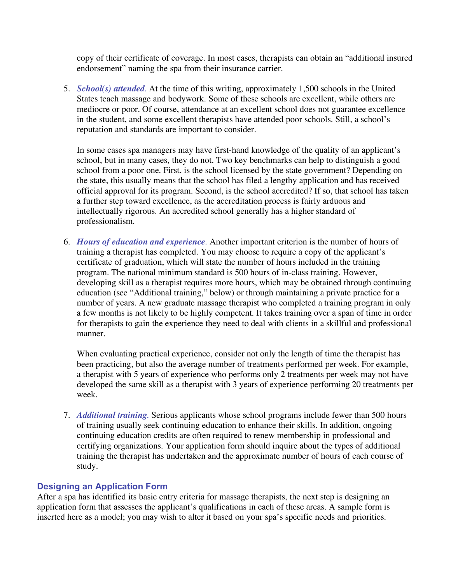copy of their certificate of coverage. In most cases, therapists can obtain an "additional insured endorsement" naming the spa from their insurance carrier.

5. *School(s) attended.* At the time of this writing, approximately 1,500 schools in the United States teach massage and bodywork. Some of these schools are excellent, while others are mediocre or poor. Of course, attendance at an excellent school does not guarantee excellence in the student, and some excellent therapists have attended poor schools. Still, a school's reputation and standards are important to consider.

In some cases spa managers may have first-hand knowledge of the quality of an applicant's school, but in many cases, they do not. Two key benchmarks can help to distinguish a good school from a poor one. First, is the school licensed by the state government? Depending on the state, this usually means that the school has filed a lengthy application and has received official approval for its program. Second, is the school accredited? If so, that school has taken a further step toward excellence, as the accreditation process is fairly arduous and intellectually rigorous. An accredited school generally has a higher standard of professionalism.

6. *Hours of education and experience.* Another important criterion is the number of hours of training a therapist has completed. You may choose to require a copy of the applicant's certificate of graduation, which will state the number of hours included in the training program. The national minimum standard is 500 hours of in-class training. However, developing skill as a therapist requires more hours, which may be obtained through continuing education (see "Additional training," below) or through maintaining a private practice for a number of years. A new graduate massage therapist who completed a training program in only a few months is not likely to be highly competent. It takes training over a span of time in order for therapists to gain the experience they need to deal with clients in a skillful and professional manner.

When evaluating practical experience, consider not only the length of time the therapist has been practicing, but also the average number of treatments performed per week. For example, a therapist with 5 years of experience who performs only 2 treatments per week may not have developed the same skill as a therapist with 3 years of experience performing 20 treatments per week.

7. *Additional training.* Serious applicants whose school programs include fewer than 500 hours of training usually seek continuing education to enhance their skills. In addition, ongoing continuing education credits are often required to renew membership in professional and certifying organizations. Your application form should inquire about the types of additional training the therapist has undertaken and the approximate number of hours of each course of study.

# **Designing an Application Form**

After a spa has identified its basic entry criteria for massage therapists, the next step is designing an application form that assesses the applicant's qualifications in each of these areas. A sample form is inserted here as a model; you may wish to alter it based on your spa's specific needs and priorities.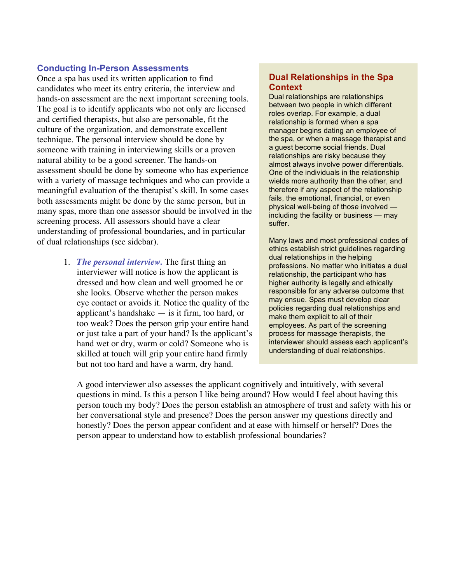### **Conducting In-Person Assessments**

Once a spa has used its written application to find candidates who meet its entry criteria, the interview and hands-on assessment are the next important screening tools. The goal is to identify applicants who not only are licensed and certified therapists, but also are personable, fit the culture of the organization, and demonstrate excellent technique. The personal interview should be done by someone with training in interviewing skills or a proven natural ability to be a good screener. The hands-on assessment should be done by someone who has experience with a variety of massage techniques and who can provide a meaningful evaluation of the therapist's skill. In some cases both assessments might be done by the same person, but in many spas, more than one assessor should be involved in the screening process. All assessors should have a clear understanding of professional boundaries, and in particular of dual relationships (see sidebar).

> 1. *The personal interview.* The first thing an interviewer will notice is how the applicant is dressed and how clean and well groomed he or she looks. Observe whether the person makes eye contact or avoids it. Notice the quality of the applicant's handshake — is it firm, too hard, or too weak? Does the person grip your entire hand or just take a part of your hand? Is the applicant's hand wet or dry, warm or cold? Someone who is skilled at touch will grip your entire hand firmly but not too hard and have a warm, dry hand.

## **Dual Relationships in the Spa Context**

Dual relationships are relationships between two people in which different roles overlap. For example, a dual relationship is formed when a spa manager begins dating an employee of the spa, or when a massage therapist and a guest become social friends. Dual relationships are risky because they almost always involve power differentials. One of the individuals in the relationship wields more authority than the other, and therefore if any aspect of the relationship fails, the emotional, financial, or even physical well-being of those involved including the facility or business — may suffer.

Many laws and most professional codes of ethics establish strict guidelines regarding dual relationships in the helping professions. No matter who initiates a dual relationship, the participant who has higher authority is legally and ethically responsible for any adverse outcome that may ensue. Spas must develop clear policies regarding dual relationships and make them explicit to all of their employees. As part of the screening process for massage therapists, the interviewer should assess each applicant's understanding of dual relationships.

A good interviewer also assesses the applicant cognitively and intuitively, with several questions in mind. Is this a person I like being around? How would I feel about having this person touch my body? Does the person establish an atmosphere of trust and safety with his or her conversational style and presence? Does the person answer my questions directly and honestly? Does the person appear confident and at ease with himself or herself? Does the person appear to understand how to establish professional boundaries?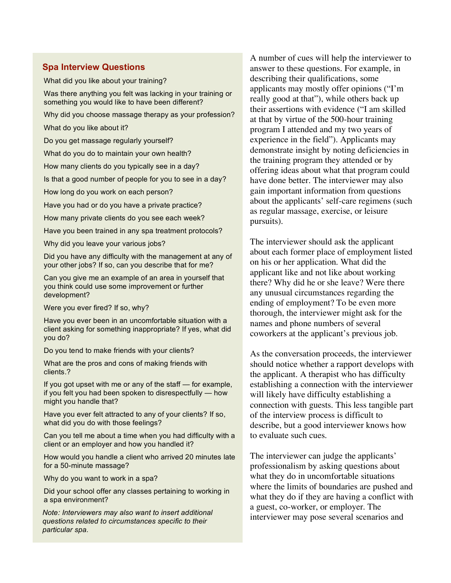#### **Spa Interview Questions**

What did you like about your training?

Was there anything you felt was lacking in your training or something you would like to have been different?

Why did you choose massage therapy as your profession?

What do you like about it?

Do you get massage regularly yourself?

What do you do to maintain your own health?

How many clients do you typically see in a day?

Is that a good number of people for you to see in a day?

How long do you work on each person?

Have you had or do you have a private practice?

How many private clients do you see each week?

Have you been trained in any spa treatment protocols?

Why did you leave your various jobs?

Did you have any difficulty with the management at any of your other jobs? If so, can you describe that for me?

Can you give me an example of an area in yourself that you think could use some improvement or further development?

Were you ever fired? If so, why?

Have you ever been in an uncomfortable situation with a client asking for something inappropriate? If yes, what did you do?

Do you tend to make friends with your clients?

What are the pros and cons of making friends with clients.?

If you got upset with me or any of the staff — for example, if you felt you had been spoken to disrespectfully — how might you handle that?

Have you ever felt attracted to any of your clients? If so, what did you do with those feelings?

Can you tell me about a time when you had difficulty with a client or an employer and how you handled it?

How would you handle a client who arrived 20 minutes late for a 50-minute massage?

Why do you want to work in a spa?

Did your school offer any classes pertaining to working in a spa environment?

*Note: Interviewers may also want to insert additional questions related to circumstances specific to their particular spa.*

A number of cues will help the interviewer to answer to these questions. For example, in describing their qualifications, some applicants may mostly offer opinions ("I'm really good at that"), while others back up their assertions with evidence ("I am skilled at that by virtue of the 500-hour training program I attended and my two years of experience in the field"). Applicants may demonstrate insight by noting deficiencies in the training program they attended or by offering ideas about what that program could have done better. The interviewer may also gain important information from questions about the applicants' self-care regimens (such as regular massage, exercise, or leisure pursuits).

The interviewer should ask the applicant about each former place of employment listed on his or her application. What did the applicant like and not like about working there? Why did he or she leave? Were there any unusual circumstances regarding the ending of employment? To be even more thorough, the interviewer might ask for the names and phone numbers of several coworkers at the applicant's previous job.

As the conversation proceeds, the interviewer should notice whether a rapport develops with the applicant. A therapist who has difficulty establishing a connection with the interviewer will likely have difficulty establishing a connection with guests. This less tangible part of the interview process is difficult to describe, but a good interviewer knows how to evaluate such cues.

The interviewer can judge the applicants' professionalism by asking questions about what they do in uncomfortable situations where the limits of boundaries are pushed and what they do if they are having a conflict with a guest, co-worker, or employer. The interviewer may pose several scenarios and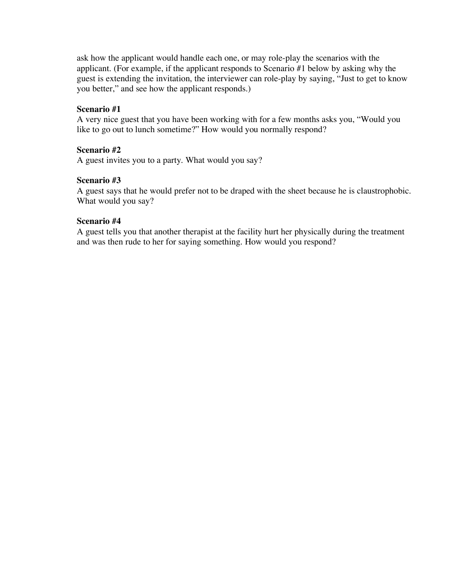ask how the applicant would handle each one, or may role-play the scenarios with the applicant. (For example, if the applicant responds to Scenario #1 below by asking why the guest is extending the invitation, the interviewer can role-play by saying, "Just to get to know you better," and see how the applicant responds.)

#### **Scenario #1**

A very nice guest that you have been working with for a few months asks you, "Would you like to go out to lunch sometime?" How would you normally respond?

#### **Scenario #2**

A guest invites you to a party. What would you say?

### **Scenario #3**

A guest says that he would prefer not to be draped with the sheet because he is claustrophobic. What would you say?

#### **Scenario #4**

A guest tells you that another therapist at the facility hurt her physically during the treatment and was then rude to her for saying something. How would you respond?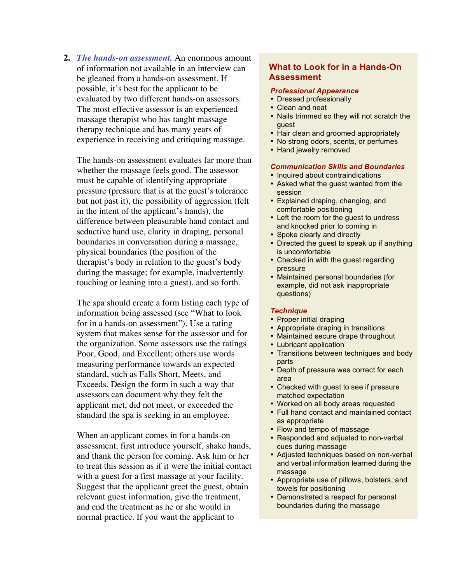**2.** *The hands-on assessment.* An enormous amount of information not available in an interview can be gleaned from a hands-on assessment. If possible, it's best for the applicant to be evaluated by two different hands-on assessors. The most effective assessor is an experienced massage therapist who has taught massage therapy technique and has many years of experience in receiving and critiquing massage.

The hands-on assessment evaluates far more than whether the massage feels good. The assessor must be capable of identifying appropriate pressure (pressure that is at the guest's tolerance but not past it), the possibility of aggression (felt in the intent of the applicant's hands), the difference between pleasurable hand contact and seductive hand use, clarity in draping, personal boundaries in conversation during a massage, physical boundaries (the position of the therapist's body in relation to the guest's body during the massage; for example, inadvertently touching or leaning into a guest), and so forth.

The spa should create a form listing each type of information being assessed (see "What to look for in a hands-on assessment"). Use a rating system that makes sense for the assessor and for the organization. Some assessors use the ratings Poor, Good, and Excellent; others use words measuring performance towards an expected standard, such as Falls Short, Meets, and Exceeds. Design the form in such a way that assessors can document why they felt the applicant met, did not meet, or exceeded the standard the spa is seeking in an employee.

When an applicant comes in for a hands-on assessment, first introduce yourself, shake hands, and thank the person for coming. Ask him or her to treat this session as if it were the initial contact with a guest for a first massage at your facility. Suggest that the applicant greet the guest, obtain relevant guest information, give the treatment, and end the treatment as he or she would in normal practice. If you want the applicant to

# **What to Look for in a Hands-On Assessment**

#### *Professional Appearance*

- Dressed professionally
- Clean and neat
- Nails trimmed so they will not scratch the guest
- Hair clean and groomed appropriately
- No strong odors, scents, or perfumes
- Hand jewelry removed

#### *Communication Skills and Boundaries*

- Inquired about contraindications
- Asked what the guest wanted from the session
- Explained draping, changing, and comfortable positioning
- Left the room for the guest to undress and knocked prior to coming in
- Spoke clearly and directly
- Directed the guest to speak up if anything is uncomfortable
- Checked in with the guest regarding pressure
- Maintained personal boundaries (for example, did not ask inappropriate questions)

#### *Technique*

- Proper initial draping
- Appropriate draping in transitions
- Maintained secure drape throughout
- Lubricant application
- Transitions between techniques and body parts
- Depth of pressure was correct for each area
- Checked with guest to see if pressure matched expectation
- Worked on all body areas requested
- Full hand contact and maintained contact as appropriate
- Flow and tempo of massage
- Responded and adjusted to non-verbal cues during massage
- Adjusted techniques based on non-verbal and verbal information learned during the massage
- Appropriate use of pillows, bolsters, and towels for positioning
- Demonstrated a respect for personal boundaries during the massage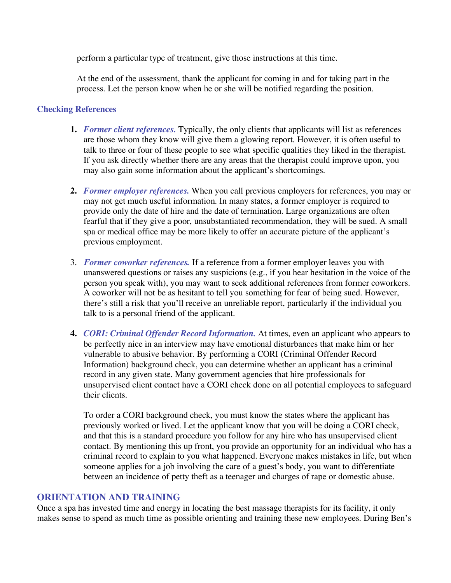perform a particular type of treatment, give those instructions at this time.

At the end of the assessment, thank the applicant for coming in and for taking part in the process. Let the person know when he or she will be notified regarding the position.

## **Checking References**

- **1.** *Former client references.* Typically, the only clients that applicants will list as references are those whom they know will give them a glowing report. However, it is often useful to talk to three or four of these people to see what specific qualities they liked in the therapist. If you ask directly whether there are any areas that the therapist could improve upon, you may also gain some information about the applicant's shortcomings.
- **2.** *Former employer references.* When you call previous employers for references, you may or may not get much useful information. In many states, a former employer is required to provide only the date of hire and the date of termination. Large organizations are often fearful that if they give a poor, unsubstantiated recommendation, they will be sued. A small spa or medical office may be more likely to offer an accurate picture of the applicant's previous employment.
- 3. *Former coworker references.* If a reference from a former employer leaves you with unanswered questions or raises any suspicions (e.g., if you hear hesitation in the voice of the person you speak with), you may want to seek additional references from former coworkers. A coworker will not be as hesitant to tell you something for fear of being sued. However, there's still a risk that you'll receive an unreliable report, particularly if the individual you talk to is a personal friend of the applicant.
- **4.** *CORI: Criminal Offender Record Information.* At times, even an applicant who appears to be perfectly nice in an interview may have emotional disturbances that make him or her vulnerable to abusive behavior. By performing a CORI (Criminal Offender Record Information) background check, you can determine whether an applicant has a criminal record in any given state. Many government agencies that hire professionals for unsupervised client contact have a CORI check done on all potential employees to safeguard their clients.

To order a CORI background check, you must know the states where the applicant has previously worked or lived. Let the applicant know that you will be doing a CORI check, and that this is a standard procedure you follow for any hire who has unsupervised client contact. By mentioning this up front, you provide an opportunity for an individual who has a criminal record to explain to you what happened. Everyone makes mistakes in life, but when someone applies for a job involving the care of a guest's body, you want to differentiate between an incidence of petty theft as a teenager and charges of rape or domestic abuse.

# **ORIENTATION AND TRAINING**

Once a spa has invested time and energy in locating the best massage therapists for its facility, it only makes sense to spend as much time as possible orienting and training these new employees. During Ben's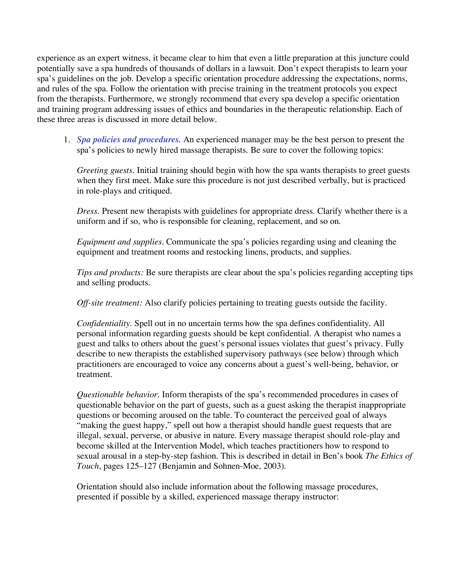experience as an expert witness, it became clear to him that even a little preparation at this juncture could potentially save a spa hundreds of thousands of dollars in a lawsuit. Don't expect therapists to learn your spa's guidelines on the job. Develop a specific orientation procedure addressing the expectations, norms, and rules of the spa. Follow the orientation with precise training in the treatment protocols you expect from the therapists. Furthermore, we strongly recommend that every spa develop a specific orientation and training program addressing issues of ethics and boundaries in the therapeutic relationship. Each of these three areas is discussed in more detail below.

1. *Spa policies and procedures.* An experienced manager may be the best person to present the spa's policies to newly hired massage therapists. Be sure to cover the following topics:

*Greeting guests.* Initial training should begin with how the spa wants therapists to greet guests when they first meet. Make sure this procedure is not just described verbally, but is practiced in role-plays and critiqued.

*Dress.* Present new therapists with guidelines for appropriate dress. Clarify whether there is a uniform and if so, who is responsible for cleaning, replacement, and so on.

*Equipment and supplies.* Communicate the spa's policies regarding using and cleaning the equipment and treatment rooms and restocking linens, products, and supplies.

*Tips and products:* Be sure therapists are clear about the spa's policies regarding accepting tips and selling products.

*Off-site treatment:* Also clarify policies pertaining to treating guests outside the facility.

*Confidentiality.* Spell out in no uncertain terms how the spa defines confidentiality. All personal information regarding guests should be kept confidential. A therapist who names a guest and talks to others about the guest's personal issues violates that guest's privacy. Fully describe to new therapists the established supervisory pathways (see below) through which practitioners are encouraged to voice any concerns about a guest's well-being, behavior, or treatment.

*Questionable behavior.* Inform therapists of the spa's recommended procedures in cases of questionable behavior on the part of guests, such as a guest asking the therapist inappropriate questions or becoming aroused on the table. To counteract the perceived goal of always "making the guest happy," spell out how a therapist should handle guest requests that are illegal, sexual, perverse, or abusive in nature. Every massage therapist should role-play and become skilled at the Intervention Model, which teaches practitioners how to respond to sexual arousal in a step-by-step fashion. This is described in detail in Ben's book *The Ethics of Touch*, pages 125–127 (Benjamin and Sohnen-Moe, 2003).

Orientation should also include information about the following massage procedures, presented if possible by a skilled, experienced massage therapy instructor: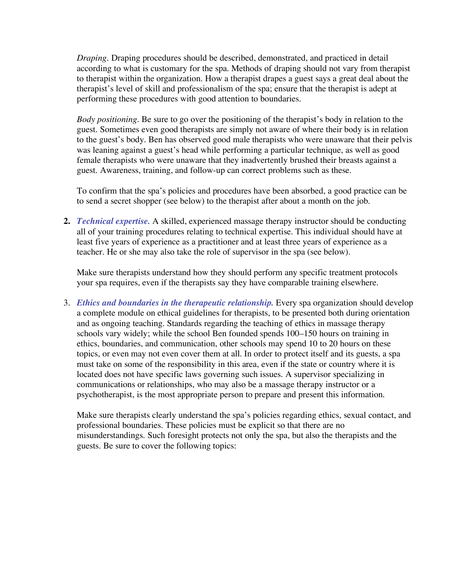*Draping.* Draping procedures should be described, demonstrated, and practiced in detail according to what is customary for the spa. Methods of draping should not vary from therapist to therapist within the organization. How a therapist drapes a guest says a great deal about the therapist's level of skill and professionalism of the spa; ensure that the therapist is adept at performing these procedures with good attention to boundaries.

*Body positioning.* Be sure to go over the positioning of the therapist's body in relation to the guest. Sometimes even good therapists are simply not aware of where their body is in relation to the guest's body. Ben has observed good male therapists who were unaware that their pelvis was leaning against a guest's head while performing a particular technique, as well as good female therapists who were unaware that they inadvertently brushed their breasts against a guest. Awareness, training, and follow-up can correct problems such as these.

To confirm that the spa's policies and procedures have been absorbed, a good practice can be to send a secret shopper (see below) to the therapist after about a month on the job.

**2.** *Technical expertise.* A skilled, experienced massage therapy instructor should be conducting all of your training procedures relating to technical expertise. This individual should have at least five years of experience as a practitioner and at least three years of experience as a teacher. He or she may also take the role of supervisor in the spa (see below).

Make sure therapists understand how they should perform any specific treatment protocols your spa requires, even if the therapists say they have comparable training elsewhere.

3. *Ethics and boundaries in the therapeutic relationship.* Every spa organization should develop a complete module on ethical guidelines for therapists, to be presented both during orientation and as ongoing teaching. Standards regarding the teaching of ethics in massage therapy schools vary widely; while the school Ben founded spends 100–150 hours on training in ethics, boundaries, and communication, other schools may spend 10 to 20 hours on these topics, or even may not even cover them at all. In order to protect itself and its guests, a spa must take on some of the responsibility in this area, even if the state or country where it is located does not have specific laws governing such issues. A supervisor specializing in communications or relationships, who may also be a massage therapy instructor or a psychotherapist, is the most appropriate person to prepare and present this information.

Make sure therapists clearly understand the spa's policies regarding ethics, sexual contact, and professional boundaries. These policies must be explicit so that there are no misunderstandings. Such foresight protects not only the spa, but also the therapists and the guests. Be sure to cover the following topics: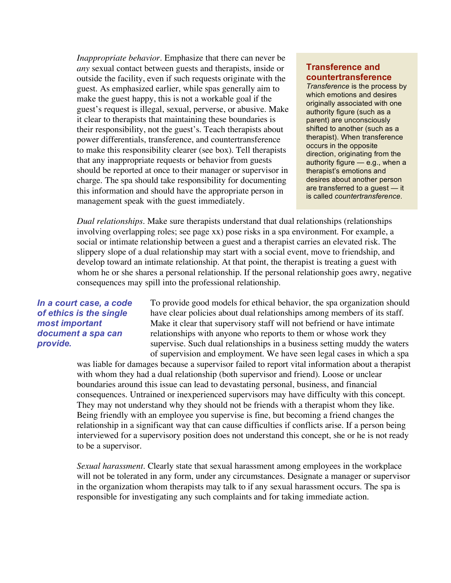*Inappropriate behavior.* Emphasize that there can never be *any* sexual contact between guests and therapists, inside or outside the facility, even if such requests originate with the guest. As emphasized earlier, while spas generally aim to make the guest happy, this is not a workable goal if the guest's request is illegal, sexual, perverse, or abusive. Make it clear to therapists that maintaining these boundaries is their responsibility, not the guest's. Teach therapists about power differentials, transference, and countertransference to make this responsibility clearer (see box). Tell therapists that any inappropriate requests or behavior from guests should be reported at once to their manager or supervisor in charge. The spa should take responsibility for documenting this information and should have the appropriate person in management speak with the guest immediately.

#### **Transference and countertransference**

*Transference* is the process by which emotions and desires originally associated with one authority figure (such as a parent) are unconsciously shifted to another (such as a therapist). When transference occurs in the opposite direction, originating from the authority figure — e.g., when a therapist's emotions and desires about another person are transferred to a guest — it is called *countertransference*.

*Dual relationships.* Make sure therapists understand that dual relationships (relationships involving overlapping roles; see page xx) pose risks in a spa environment. For example, a social or intimate relationship between a guest and a therapist carries an elevated risk. The slippery slope of a dual relationship may start with a social event, move to friendship, and develop toward an intimate relationship. At that point, the therapist is treating a guest with whom he or she shares a personal relationship. If the personal relationship goes awry, negative consequences may spill into the professional relationship.

## *In a court case, a code of ethics is the single most important document a spa can provide.*

To provide good models for ethical behavior, the spa organization should have clear policies about dual relationships among members of its staff. Make it clear that supervisory staff will not befriend or have intimate relationships with anyone who reports to them or whose work they supervise. Such dual relationships in a business setting muddy the waters of supervision and employment. We have seen legal cases in which a spa

was liable for damages because a supervisor failed to report vital information about a therapist with whom they had a dual relationship (both supervisor and friend). Loose or unclear boundaries around this issue can lead to devastating personal, business, and financial consequences. Untrained or inexperienced supervisors may have difficulty with this concept. They may not understand why they should not be friends with a therapist whom they like. Being friendly with an employee you supervise is fine, but becoming a friend changes the relationship in a significant way that can cause difficulties if conflicts arise. If a person being interviewed for a supervisory position does not understand this concept, she or he is not ready to be a supervisor.

*Sexual harassment.* Clearly state that sexual harassment among employees in the workplace will not be tolerated in any form, under any circumstances. Designate a manager or supervisor in the organization whom therapists may talk to if any sexual harassment occurs. The spa is responsible for investigating any such complaints and for taking immediate action.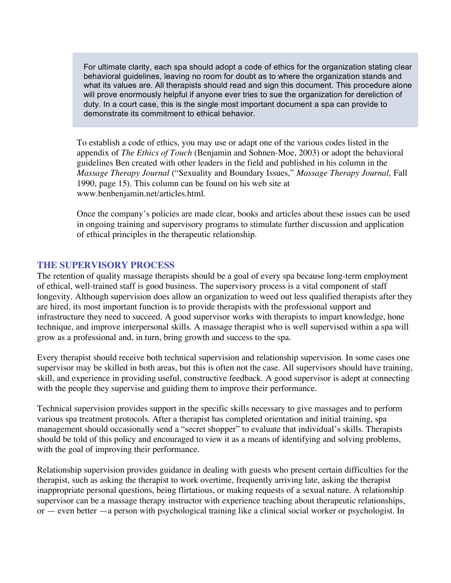For ultimate clarity, each spa should adopt a code of ethics for the organization stating clear behavioral guidelines, leaving no room for doubt as to where the organization stands and what its values are. All therapists should read and sign this document. This procedure alone will prove enormously helpful if anyone ever tries to sue the organization for dereliction of duty. In a court case, this is the single most important document a spa can provide to demonstrate its commitment to ethical behavior.

To establish a code of ethics, you may use or adapt one of the various codes listed in the appendix of *The Ethics of Touch* (Benjamin and Sohnen-Moe, 2003) or adopt the behavioral guidelines Ben created with other leaders in the field and published in his column in the *Massage Therapy Journal* ("Sexuality and Boundary Issues," *Massage Therapy Journal,* Fall 1990, page 15). This column can be found on his web site at www.benbenjamin.net/articles.html.

Once the company's policies are made clear, books and articles about these issues can be used in ongoing training and supervisory programs to stimulate further discussion and application of ethical principles in the therapeutic relationship.

## **THE SUPERVISORY PROCESS**

The retention of quality massage therapists should be a goal of every spa because long-term employment of ethical, well-trained staff is good business. The supervisory process is a vital component of staff longevity. Although supervision does allow an organization to weed out less qualified therapists after they are hired, its most important function is to provide therapists with the professional support and infrastructure they need to succeed. A good supervisor works with therapists to impart knowledge, hone technique, and improve interpersonal skills. A massage therapist who is well supervised within a spa will grow as a professional and, in turn, bring growth and success to the spa.

Every therapist should receive both technical supervision and relationship supervision. In some cases one supervisor may be skilled in both areas, but this is often not the case. All supervisors should have training, skill, and experience in providing useful, constructive feedback. A good supervisor is adept at connecting with the people they supervise and guiding them to improve their performance.

Technical supervision provides support in the specific skills necessary to give massages and to perform various spa treatment protocols. After a therapist has completed orientation and initial training, spa management should occasionally send a "secret shopper" to evaluate that individual's skills. Therapists should be told of this policy and encouraged to view it as a means of identifying and solving problems, with the goal of improving their performance.

Relationship supervision provides guidance in dealing with guests who present certain difficulties for the therapist, such as asking the therapist to work overtime, frequently arriving late, asking the therapist inappropriate personal questions, being flirtatious, or making requests of a sexual nature. A relationship supervisor can be a massage therapy instructor with experience teaching about therapeutic relationships, or — even better —a person with psychological training like a clinical social worker or psychologist. In